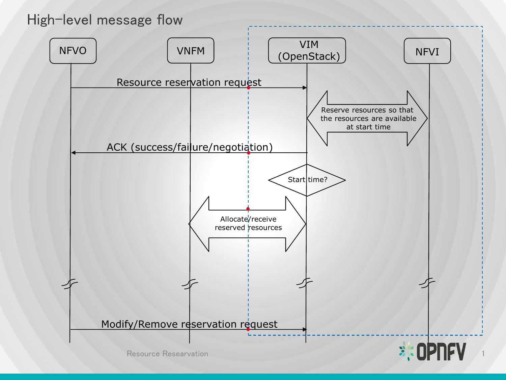# High-level message flow

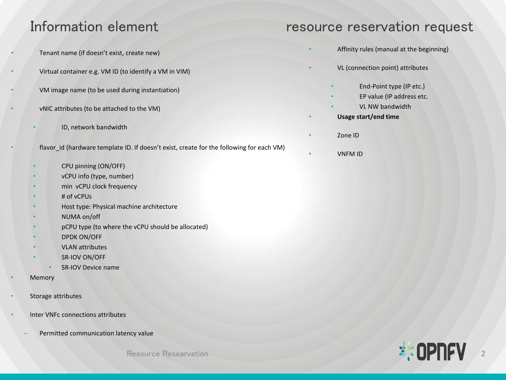- Tenant name (if doesn't exist, create new)
- Virtual container e.g. VM ID (to identify a VM in VIM)
	- VM image name (to be used during instantiation)
- vNIC attributes (to be attached to the VM)
	- ID, network bandwidth
- flavor\_id (hardware template ID. If doesn't exist, create for the following for each VM)
	- CPU pinning (ON/OFF)
	- vCPU info (type, number)
	- min vCPU clock frequency
	- # of vCPUs
	- Host type: Physical machine architecture
	- NUMA on/off
	- pCPU type (to where the vCPU should be allocated)
	- DPDK ON/OFF
	- VLAN attributes
	- SR-IOV ON/OFF
		- SR-IOV Device name
- **Memory**
- Storage attributes
- Inter VNFc connections attributes
	- Permitted communication latency value

## Information element resource reservation request

- Affinity rules (manual at the beginning)
- VL (connection point) attributes
	- End-Point type (IP etc.)
	- EP value (IP address etc.
	- VL NW bandwidth
	- **Usage start/end time**
- Zone ID
- VNFM ID